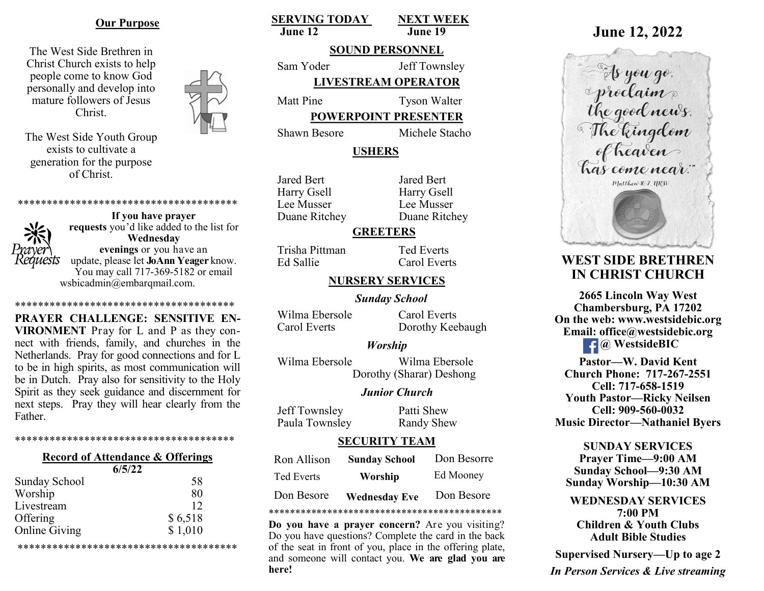### **Our Purpose**

The West Side Brethren in Christ Church exists to help people come to know God personally and develop into mature followers of Jesus Christ.

The West Side Youth Group exists to cultivate a generation for the purpose of Christ.

\*\*\*\*\*\*\*\*\*\*\*\*\*\*\*\*\*\*\*\*\*\*\*\*\*\*\*\*\*\*\*\*\*\*\*\*\*\* **If you have prayer** 



**requests** you'd like added to the list for **Wednesday evenings** or you have an update, please let **JoAnn Yeager** know. You may call 717-369-5182 or email wsbicadmin@embarqmail.com.

**PRAYER CHALLENGE: SENSITIVE EN-VIRONMENT** Pray for L and P as they connect with friends, family, and churches in the Netherlands. Pray for good connections and for L to be in high spirits, as most communication will be in Dutch. Pray also for sensitivity to the Holy Spirit as they seek guidance and discernment for next steps. Pray they will hear clearly from the Father.

\*\*\*\*\*\*\*\*\*\*\*\*\*\*\*\*\*\*\*\*\*\*\*\*\*\*\*\*\*\*\*

\*\*\*\*\*\*\*\*\*\*\*\*\*\*\*\*\*\*\*\*\*\*\*\*\*\*\*\*\*\*\*\*\*\*\*\*\*\*

# **Record of Attendance & Offerings**

| 6/5/22               |         |
|----------------------|---------|
| <b>Sunday School</b> | 58      |
| Worship              | 80      |
| Livestream           | 12      |
| Offering             | \$6,518 |
| <b>Online Giving</b> | \$1,010 |

\*\*\*\*\*\*\*\*\*\*\*\*\*\*\*\*\*\*\*\*\*\*\*\*\*\*\*\*\*\*\*\*\*\*\*\*\*\*

**SERVING TODAY NEXT WEEK June 12 June 19**

# **SOUND PERSONNEL**

Sam Yoder Jeff Townsley **LIVESTREAM OPERATOR**

Matt Pine Tyson Walter

**POWERPOINT PRESENTER**

Shawn Besore Michele Stacho

## **USHERS**

Jared Bert Jared Bert Harry Gsell Harry Gsell Lee Musser Lee Musser Duane Ritchey Duane Ritchey

## **GREETERS**

Trisha Pittman Ted Everts Ed Sallie Carol Everts

## **NURSERY SERVICES**

*Sunday School*

Wilma Ebersole Carol Everts Carol Everts Dorothy Keebaugh

### *Worship*

Wilma Ebersole Wilma Ebersole Dorothy (Sharar) Deshong

### *Junior Church*

Jeff Townsley Patti Shew Paula Townsley Randy Shew

### **SECURITY TEAM**

| Ron Allison       | <b>Sunday School</b> | Don Besorre |
|-------------------|----------------------|-------------|
| <b>Ted Everts</b> | Worship              | Ed Mooney   |
| Don Besore        | <b>Wednesday Eve</b> | Don Besore  |

\*\*\*\*\*\*\*\*\*\*\*\*\*\*\*\*\*\*\*\*\*\*\*\*\*\*\*\*\*\*\*\*\*\*\*\*\*\*\*\*\*\*\*\*

**Do you have a prayer concern?** Are you visiting? Do you have questions? Complete the card in the back of the seat in front of you, place in the offering plate, and someone will contact you. **We are glad you are here!**

# **June 12, 2022**

As you go.<br>As you go.<br>The good news.<br>The kingdom<br>of heaven has come near." Matthew 10.7. 11RSL

# **WEST SIDE BRETHREN IN CHRIST CHURCH**

**2665 Lincoln Way West Chambersburg, PA 17202 On the web: [www.westsidebic.org](http://www.westsidebic.org) Email: office@westsidebic.org @ WestsideBIC** 

**Pastor—W. David Kent Church Phone: 717-267-2551 Cell: 717-658-1519 Youth Pastor—Ricky Neilsen Cell: 909-560-0032 Music Director—Nathaniel Byers**

**SUNDAY SERVICES Prayer Time—9:00 AM Sunday School—9:30 AM Sunday Worship—10:30 AM**

**WEDNESDAY SERVICES 7:00 PM Children & Youth Clubs Adult Bible Studies**

**Supervised Nursery—Up to age 2**

*In Person Services & Live streaming*